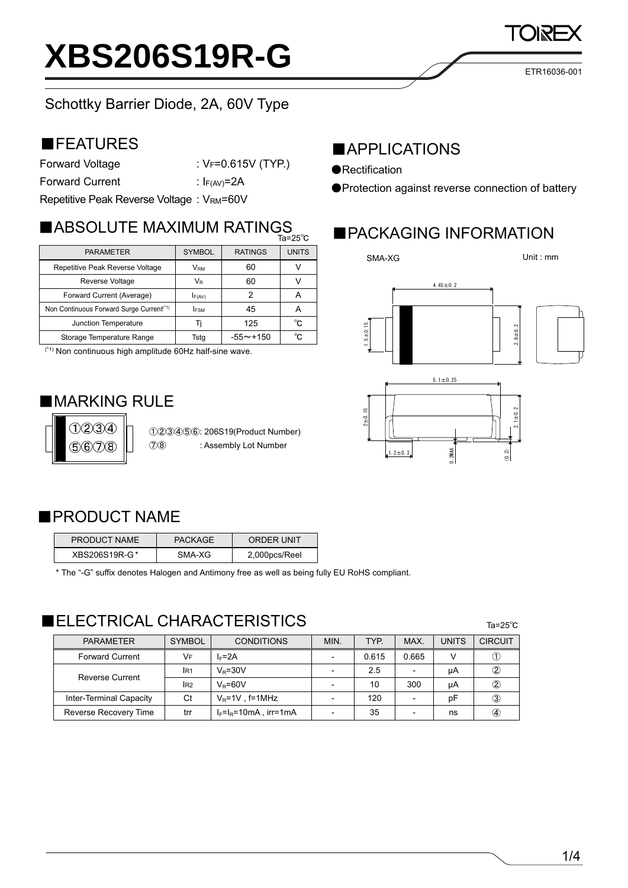### Schottky Barrier Diode, 2A, 60V Type

### ■FEATURES

Forward Voltage : VF=0.615V (TYP.)

Forward Current : I<sub>F(AV)</sub>=2A

Repetitive Peak Reverse Voltage : VRM=60V

## ■ ABSOLUTE MAXIMUM RATINGS ■ PACKAGING INFORMATION

|                                                      |               | .              |              |
|------------------------------------------------------|---------------|----------------|--------------|
| <b>PARAMETER</b>                                     | <b>SYMBOL</b> | <b>RATINGS</b> | <b>UNITS</b> |
| Repetitive Peak Reverse Voltage                      | <b>VRM</b>    | 60             |              |
| Reverse Voltage                                      | $V_{R}$       | 60             |              |
| Forward Current (Average)                            | F(AV)         |                |              |
| Non Continuous Forward Surge Current <sup>(*1)</sup> | <b>IFSM</b>   | 45             | А            |
| Junction Temperature                                 |               | 125            | °C           |
| Storage Temperature Range                            | Tsta          | $-55 - +150$   | °C           |

(\*1) Non continuous high amplitude 60Hz half-sine wave.

### ■**MARKING RULE**



①②③④⑤⑥: 206S19(Product Number) ⑦⑧ : Assembly Lot Number

### ■APPLICATIONS

- ●Rectification
- ●Protection against reverse connection of battery

SMA-XG





Ta=25℃



### ■PRODUCT NAME

| PRODUCT NAME  | <b>PACKAGE</b> | ORDER UNIT    |
|---------------|----------------|---------------|
| XBS206S19R-G* | SMA-XG         | 2,000pcs/Reel |

\* The "-G" suffix denotes Halogen and Antimony free as well as being fully EU RoHS compliant.

### **ELECTRICAL CHARACTERISTICS**

| <b>PARAMETER</b>        | <b>SYMBOL</b> | <b>CONDITIONS</b>            | MIN. | TYP.  | MAX.  | <b>UNITS</b> | <b>CIRCUIT</b> |
|-------------------------|---------------|------------------------------|------|-------|-------|--------------|----------------|
| <b>Forward Current</b>  | VF            | $I_F = 2A$                   |      | 0.615 | 0.665 |              |                |
| <b>Reverse Current</b>  | IR1           | $V_R = 30V$                  |      | 2.5   |       | μA           | 2              |
|                         | IR2           | $V_P = 60V$                  |      | 10    | 300   | μA           | 2              |
| Inter-Terminal Capacity | Ct            | $V_R = 1V$ , f=1MHz          |      | 120   |       | рF           | ③              |
| Reverse Recovery Time   | trr           | $I_F = I_R = 10mA$ , irr=1mA |      | 35    |       | ns           | A)             |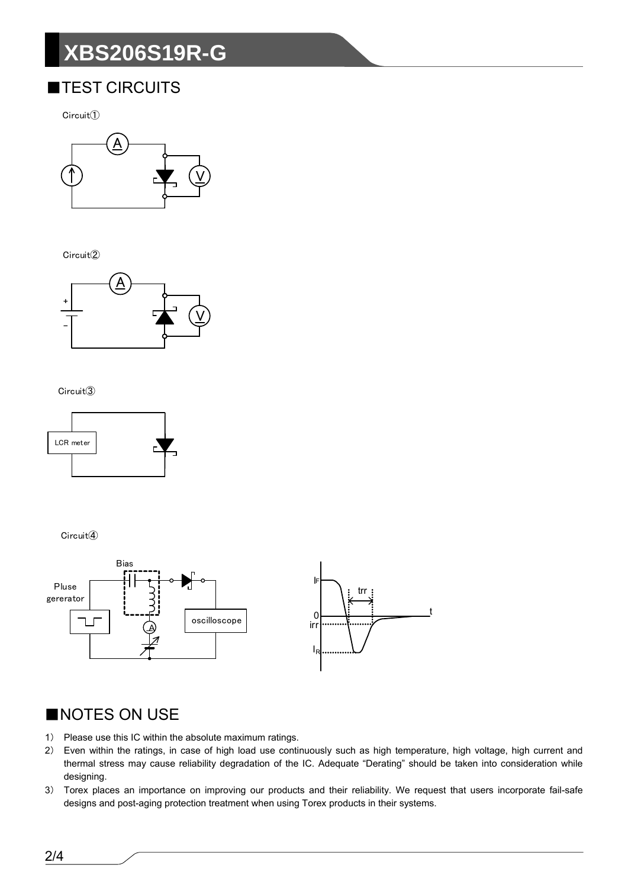# **XBS206S19R-G**

### **TEST CIRCUITS**

 $Circuit()$ 



Circuit<sup>(2)</sup>



#### Circuit<sup>3</sup>



Circuit<sup>(4)</sup>



### NOTES ON USE

- 1) Please use this IC within the absolute maximum ratings.
- $2)$ Even within the ratings, in case of high load use continuously such as high temperature, high voltage, high current and thermal stress may cause reliability degradation of the IC. Adequate "Derating" should be taken into consideration while designing.
- 3) Torex places an importance on improving our products and their reliability. We request that users incorporate fail-safe designs and post-aging protection treatment when using Torex products in their systems.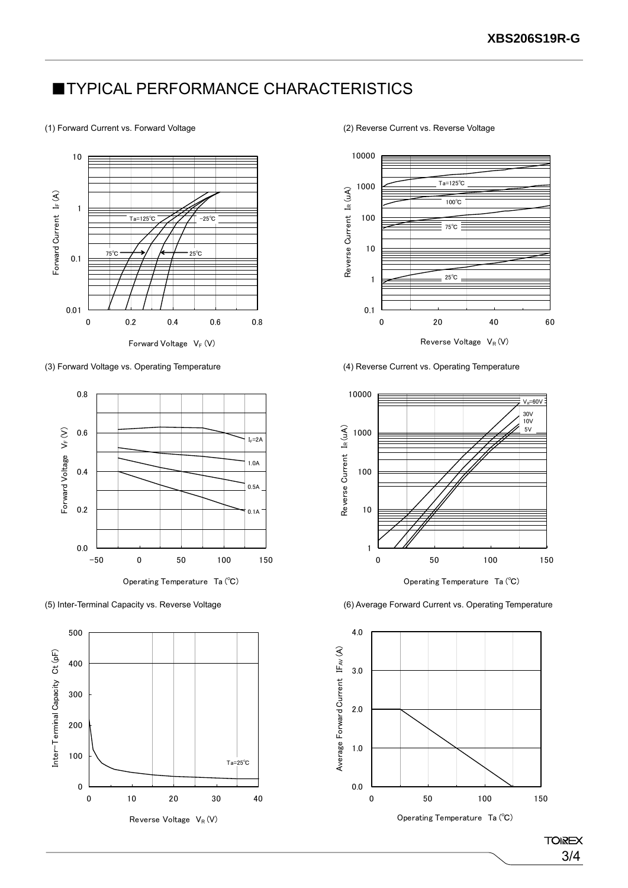### **TYPICAL PERFORMANCE CHARACTERISTICS**

#### (1) Forward Current vs. Forward Voltage (2) Reverse Current vs. Reverse Voltage



(3) Forward Voltage vs. Operating Temperature (4) Reverse Current vs. Operating Temperature









Operating Temperature Ta (℃)

(5) Inter-Terminal Capacity vs. Reverse Voltage (6) Average Forward Current vs. Operating Temperature



**TOIREX** 3/4